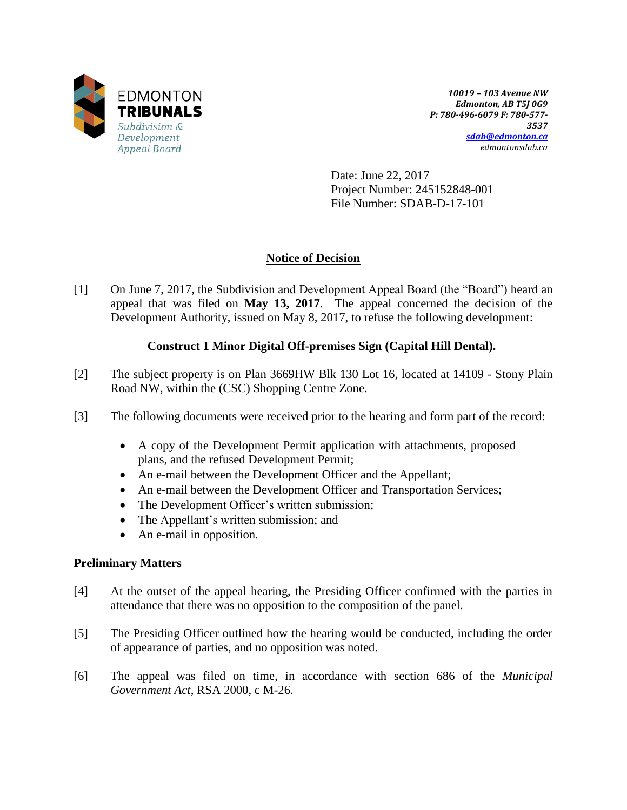

*10019 – 103 Avenue NW Edmonton, AB T5J 0G9 P: 780-496-6079 F: 780-577- 3537 [sdab@edmonton.ca](mailto:sdab@edmonton.ca) edmontonsdab.ca*

Date: June 22, 2017 Project Number: 245152848-001 File Number: SDAB-D-17-101

# **Notice of Decision**

[1] On June 7, 2017, the Subdivision and Development Appeal Board (the "Board") heard an appeal that was filed on **May 13, 2017**. The appeal concerned the decision of the Development Authority, issued on May 8, 2017, to refuse the following development:

## **Construct 1 Minor Digital Off-premises Sign (Capital Hill Dental).**

- [2] The subject property is on Plan 3669HW Blk 130 Lot 16, located at 14109 Stony Plain Road NW, within the (CSC) Shopping Centre Zone.
- [3] The following documents were received prior to the hearing and form part of the record:
	- A copy of the Development Permit application with attachments, proposed plans, and the refused Development Permit;
	- An e-mail between the Development Officer and the Appellant;
	- An e-mail between the Development Officer and Transportation Services;
	- The Development Officer's written submission;
	- The Appellant's written submission; and
	- An e-mail in opposition.

## **Preliminary Matters**

- [4] At the outset of the appeal hearing, the Presiding Officer confirmed with the parties in attendance that there was no opposition to the composition of the panel.
- [5] The Presiding Officer outlined how the hearing would be conducted, including the order of appearance of parties, and no opposition was noted.
- [6] The appeal was filed on time, in accordance with section 686 of the *Municipal Government Act*, RSA 2000, c M-26.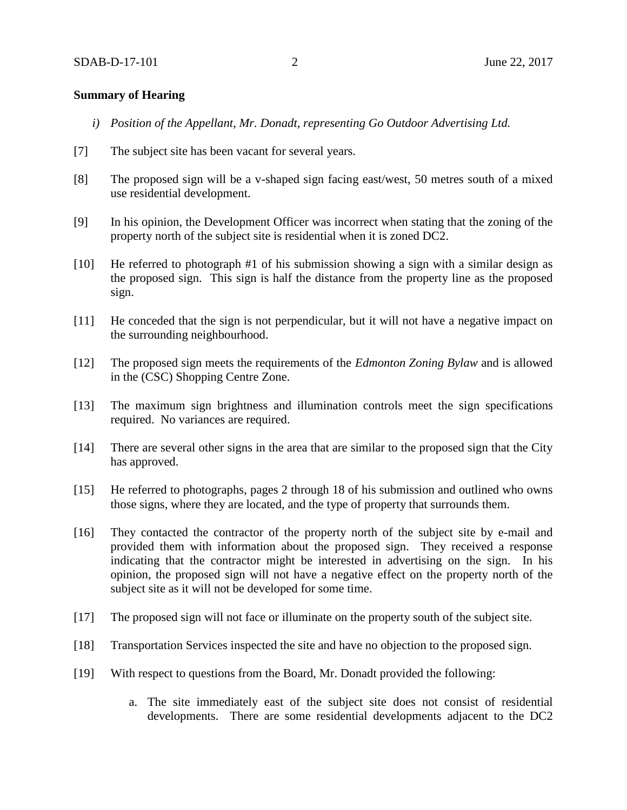#### **Summary of Hearing**

- *i) Position of the Appellant, Mr. Donadt, representing Go Outdoor Advertising Ltd.*
- [7] The subject site has been vacant for several years.
- [8] The proposed sign will be a v-shaped sign facing east/west, 50 metres south of a mixed use residential development.
- [9] In his opinion, the Development Officer was incorrect when stating that the zoning of the property north of the subject site is residential when it is zoned DC2.
- [10] He referred to photograph #1 of his submission showing a sign with a similar design as the proposed sign. This sign is half the distance from the property line as the proposed sign.
- [11] He conceded that the sign is not perpendicular, but it will not have a negative impact on the surrounding neighbourhood.
- [12] The proposed sign meets the requirements of the *Edmonton Zoning Bylaw* and is allowed in the (CSC) Shopping Centre Zone.
- [13] The maximum sign brightness and illumination controls meet the sign specifications required. No variances are required.
- [14] There are several other signs in the area that are similar to the proposed sign that the City has approved.
- [15] He referred to photographs, pages 2 through 18 of his submission and outlined who owns those signs, where they are located, and the type of property that surrounds them.
- [16] They contacted the contractor of the property north of the subject site by e-mail and provided them with information about the proposed sign. They received a response indicating that the contractor might be interested in advertising on the sign. In his opinion, the proposed sign will not have a negative effect on the property north of the subject site as it will not be developed for some time.
- [17] The proposed sign will not face or illuminate on the property south of the subject site.
- [18] Transportation Services inspected the site and have no objection to the proposed sign.
- [19] With respect to questions from the Board, Mr. Donadt provided the following:
	- a. The site immediately east of the subject site does not consist of residential developments. There are some residential developments adjacent to the DC2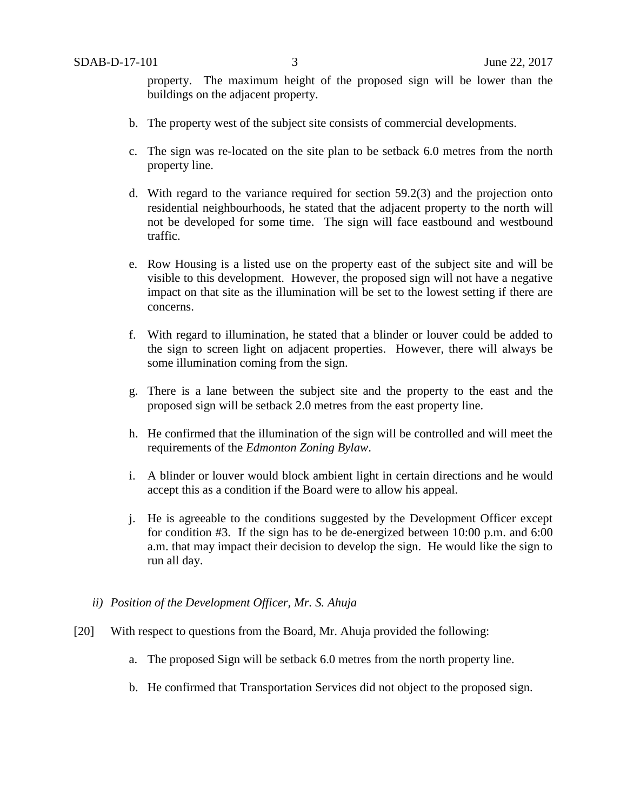property. The maximum height of the proposed sign will be lower than the buildings on the adjacent property.

- b. The property west of the subject site consists of commercial developments.
- c. The sign was re-located on the site plan to be setback 6.0 metres from the north property line.
- d. With regard to the variance required for section 59.2(3) and the projection onto residential neighbourhoods, he stated that the adjacent property to the north will not be developed for some time. The sign will face eastbound and westbound traffic.
- e. Row Housing is a listed use on the property east of the subject site and will be visible to this development. However, the proposed sign will not have a negative impact on that site as the illumination will be set to the lowest setting if there are concerns.
- f. With regard to illumination, he stated that a blinder or louver could be added to the sign to screen light on adjacent properties. However, there will always be some illumination coming from the sign.
- g. There is a lane between the subject site and the property to the east and the proposed sign will be setback 2.0 metres from the east property line.
- h. He confirmed that the illumination of the sign will be controlled and will meet the requirements of the *Edmonton Zoning Bylaw*.
- i. A blinder or louver would block ambient light in certain directions and he would accept this as a condition if the Board were to allow his appeal.
- j. He is agreeable to the conditions suggested by the Development Officer except for condition #3. If the sign has to be de-energized between 10:00 p.m. and 6:00 a.m. that may impact their decision to develop the sign. He would like the sign to run all day.
- *ii) Position of the Development Officer, Mr. S. Ahuja*
- [20] With respect to questions from the Board, Mr. Ahuja provided the following:
	- a. The proposed Sign will be setback 6.0 metres from the north property line.
	- b. He confirmed that Transportation Services did not object to the proposed sign.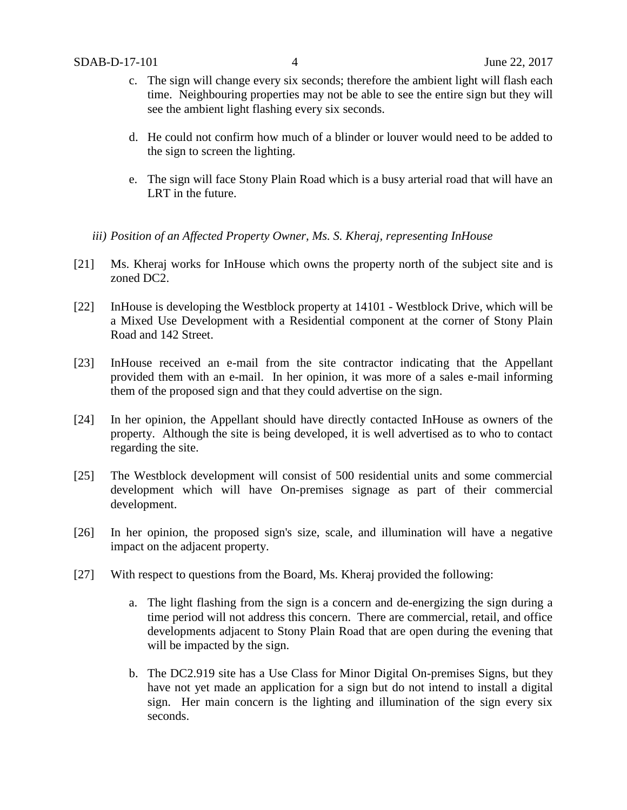- c. The sign will change every six seconds; therefore the ambient light will flash each time. Neighbouring properties may not be able to see the entire sign but they will see the ambient light flashing every six seconds.
- d. He could not confirm how much of a blinder or louver would need to be added to the sign to screen the lighting.
- e. The sign will face Stony Plain Road which is a busy arterial road that will have an LRT in the future.
- *iii) Position of an Affected Property Owner, Ms. S. Kheraj, representing InHouse*
- [21] Ms. Kheraj works for InHouse which owns the property north of the subject site and is zoned DC2.
- [22] InHouse is developing the Westblock property at 14101 Westblock Drive, which will be a Mixed Use Development with a Residential component at the corner of Stony Plain Road and 142 Street.
- [23] InHouse received an e-mail from the site contractor indicating that the Appellant provided them with an e-mail. In her opinion, it was more of a sales e-mail informing them of the proposed sign and that they could advertise on the sign.
- [24] In her opinion, the Appellant should have directly contacted InHouse as owners of the property. Although the site is being developed, it is well advertised as to who to contact regarding the site.
- [25] The Westblock development will consist of 500 residential units and some commercial development which will have On-premises signage as part of their commercial development.
- [26] In her opinion, the proposed sign's size, scale, and illumination will have a negative impact on the adjacent property.
- [27] With respect to questions from the Board, Ms. Kheraj provided the following:
	- a. The light flashing from the sign is a concern and de-energizing the sign during a time period will not address this concern. There are commercial, retail, and office developments adjacent to Stony Plain Road that are open during the evening that will be impacted by the sign.
	- b. The DC2.919 site has a Use Class for Minor Digital On-premises Signs, but they have not yet made an application for a sign but do not intend to install a digital sign. Her main concern is the lighting and illumination of the sign every six seconds.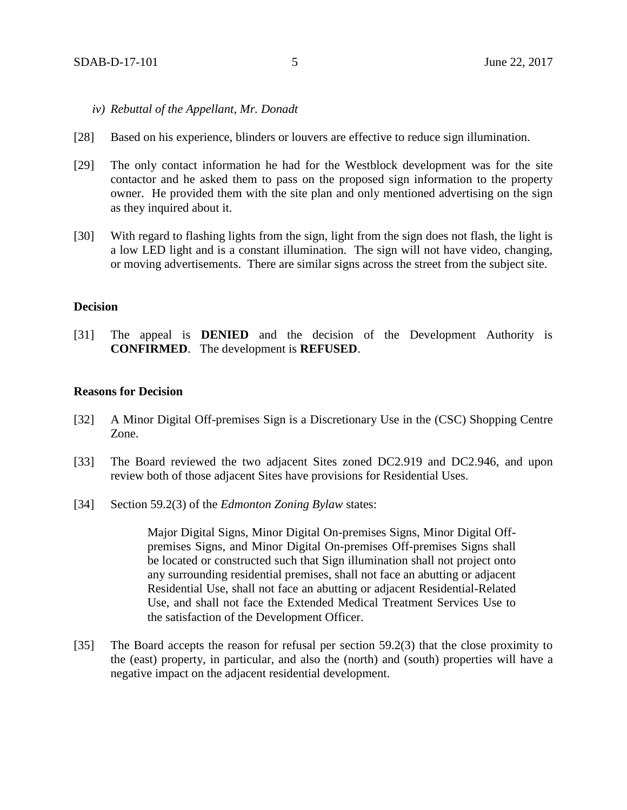- *iv) Rebuttal of the Appellant, Mr. Donadt*
- [28] Based on his experience, blinders or louvers are effective to reduce sign illumination.
- [29] The only contact information he had for the Westblock development was for the site contactor and he asked them to pass on the proposed sign information to the property owner. He provided them with the site plan and only mentioned advertising on the sign as they inquired about it.
- [30] With regard to flashing lights from the sign, light from the sign does not flash, the light is a low LED light and is a constant illumination. The sign will not have video, changing, or moving advertisements. There are similar signs across the street from the subject site.

### **Decision**

[31] The appeal is **DENIED** and the decision of the Development Authority is **CONFIRMED**. The development is **REFUSED**.

#### **Reasons for Decision**

- [32] A Minor Digital Off-premises Sign is a Discretionary Use in the (CSC) Shopping Centre Zone.
- [33] The Board reviewed the two adjacent Sites zoned DC2.919 and DC2.946, and upon review both of those adjacent Sites have provisions for Residential Uses.
- [34] Section 59.2(3) of the *Edmonton Zoning Bylaw* states:

Major Digital Signs, Minor Digital On-premises Signs, Minor Digital Offpremises Signs, and Minor Digital On-premises Off-premises Signs shall be located or constructed such that Sign illumination shall not project onto any surrounding residential premises, shall not face an abutting or adjacent Residential Use, shall not face an abutting or adjacent Residential-Related Use, and shall not face the Extended Medical Treatment Services Use to the satisfaction of the Development Officer.

[35] The Board accepts the reason for refusal per section 59.2(3) that the close proximity to the (east) property, in particular, and also the (north) and (south) properties will have a negative impact on the adjacent residential development.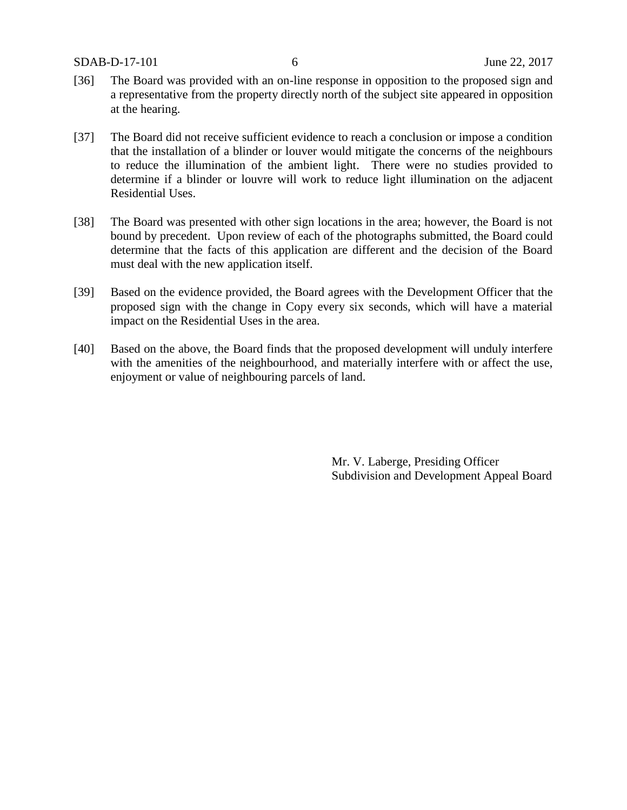- [36] The Board was provided with an on-line response in opposition to the proposed sign and a representative from the property directly north of the subject site appeared in opposition at the hearing.
- [37] The Board did not receive sufficient evidence to reach a conclusion or impose a condition that the installation of a blinder or louver would mitigate the concerns of the neighbours to reduce the illumination of the ambient light. There were no studies provided to determine if a blinder or louvre will work to reduce light illumination on the adjacent Residential Uses.
- [38] The Board was presented with other sign locations in the area; however, the Board is not bound by precedent. Upon review of each of the photographs submitted, the Board could determine that the facts of this application are different and the decision of the Board must deal with the new application itself.
- [39] Based on the evidence provided, the Board agrees with the Development Officer that the proposed sign with the change in Copy every six seconds, which will have a material impact on the Residential Uses in the area.
- [40] Based on the above, the Board finds that the proposed development will unduly interfere with the amenities of the neighbourhood, and materially interfere with or affect the use, enjoyment or value of neighbouring parcels of land.

Mr. V. Laberge, Presiding Officer Subdivision and Development Appeal Board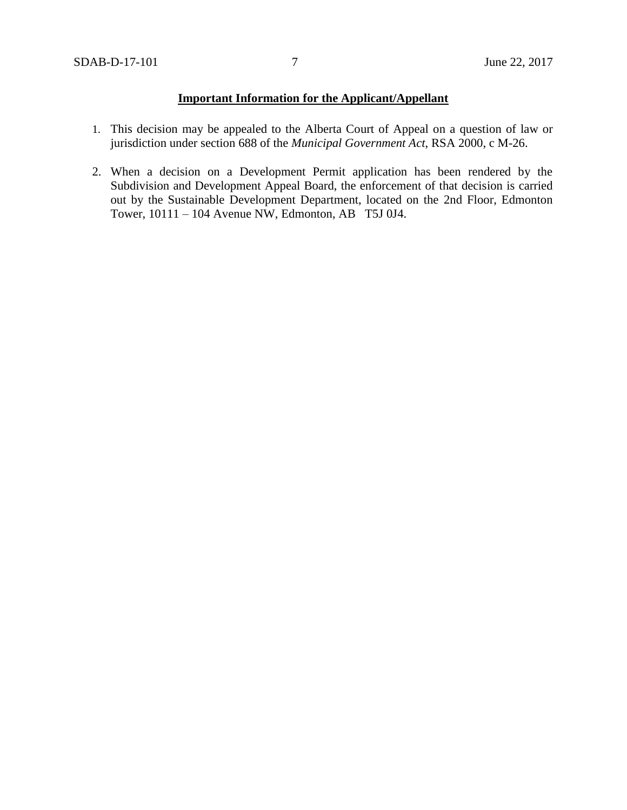## **Important Information for the Applicant/Appellant**

- 1. This decision may be appealed to the Alberta Court of Appeal on a question of law or jurisdiction under section 688 of the *Municipal Government Act*, RSA 2000, c M-26.
- 2. When a decision on a Development Permit application has been rendered by the Subdivision and Development Appeal Board, the enforcement of that decision is carried out by the Sustainable Development Department, located on the 2nd Floor, Edmonton Tower, 10111 – 104 Avenue NW, Edmonton, AB T5J 0J4.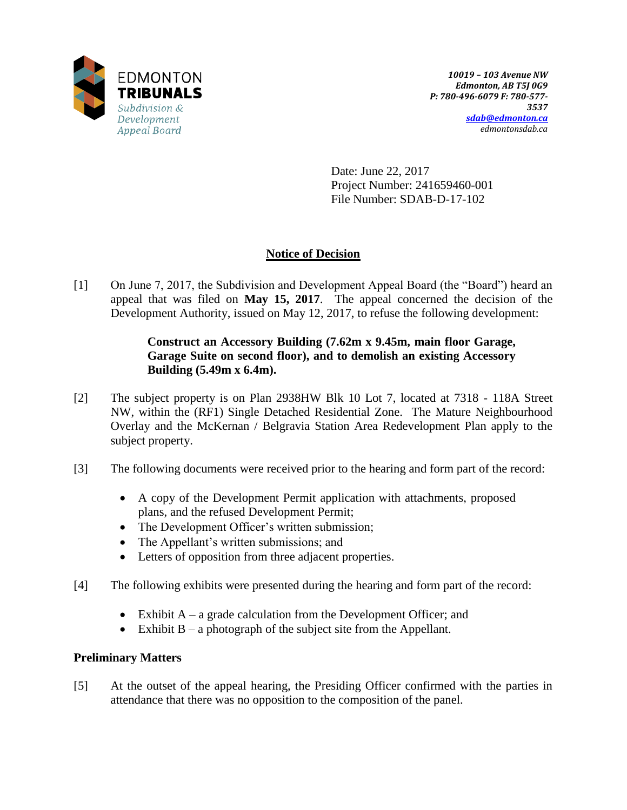

Date: June 22, 2017 Project Number: 241659460-001 File Number: SDAB-D-17-102

# **Notice of Decision**

[1] On June 7, 2017, the Subdivision and Development Appeal Board (the "Board") heard an appeal that was filed on **May 15, 2017**. The appeal concerned the decision of the Development Authority, issued on May 12, 2017, to refuse the following development:

## **Construct an Accessory Building (7.62m x 9.45m, main floor Garage, Garage Suite on second floor), and to demolish an existing Accessory Building (5.49m x 6.4m).**

- [2] The subject property is on Plan 2938HW Blk 10 Lot 7, located at 7318 118A Street NW, within the (RF1) Single Detached Residential Zone. The Mature Neighbourhood Overlay and the McKernan / Belgravia Station Area Redevelopment Plan apply to the subject property.
- [3] The following documents were received prior to the hearing and form part of the record:
	- A copy of the Development Permit application with attachments, proposed plans, and the refused Development Permit;
	- The Development Officer's written submission;
	- The Appellant's written submissions; and
	- Letters of opposition from three adjacent properties.
- [4] The following exhibits were presented during the hearing and form part of the record:
	- Exhibit  $A a$  grade calculation from the Development Officer; and
	- Exhibit  $B a$  photograph of the subject site from the Appellant.

## **Preliminary Matters**

[5] At the outset of the appeal hearing, the Presiding Officer confirmed with the parties in attendance that there was no opposition to the composition of the panel.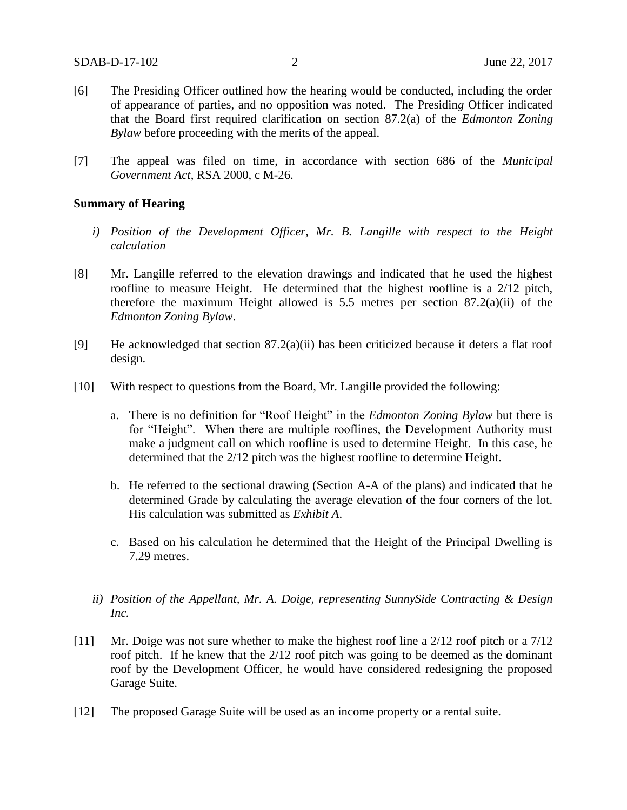- [6] The Presiding Officer outlined how the hearing would be conducted, including the order of appearance of parties, and no opposition was noted. The Presidin*g* Officer indicated that the Board first required clarification on section 87.2(a) of the *Edmonton Zoning Bylaw* before proceeding with the merits of the appeal.
- [7] The appeal was filed on time, in accordance with section 686 of the *Municipal Government Act*, RSA 2000, c M-26.

#### **Summary of Hearing**

- *i) Position of the Development Officer, Mr. B. Langille with respect to the Height calculation*
- [8] Mr. Langille referred to the elevation drawings and indicated that he used the highest roofline to measure Height. He determined that the highest roofline is a 2/12 pitch, therefore the maximum Height allowed is  $5.5$  metres per section  $87.2(a)(ii)$  of the *Edmonton Zoning Bylaw*.
- [9] He acknowledged that section 87.2(a)(ii) has been criticized because it deters a flat roof design.
- [10] With respect to questions from the Board, Mr. Langille provided the following:
	- a. There is no definition for "Roof Height" in the *Edmonton Zoning Bylaw* but there is for "Height". When there are multiple rooflines, the Development Authority must make a judgment call on which roofline is used to determine Height. In this case, he determined that the 2/12 pitch was the highest roofline to determine Height.
	- b. He referred to the sectional drawing (Section A-A of the plans) and indicated that he determined Grade by calculating the average elevation of the four corners of the lot. His calculation was submitted as *Exhibit A*.
	- c. Based on his calculation he determined that the Height of the Principal Dwelling is 7.29 metres.
	- *ii) Position of the Appellant, Mr. A. Doige, representing SunnySide Contracting & Design Inc.*
- [11] Mr. Doige was not sure whether to make the highest roof line a 2/12 roof pitch or a 7/12 roof pitch. If he knew that the 2/12 roof pitch was going to be deemed as the dominant roof by the Development Officer, he would have considered redesigning the proposed Garage Suite.
- [12] The proposed Garage Suite will be used as an income property or a rental suite.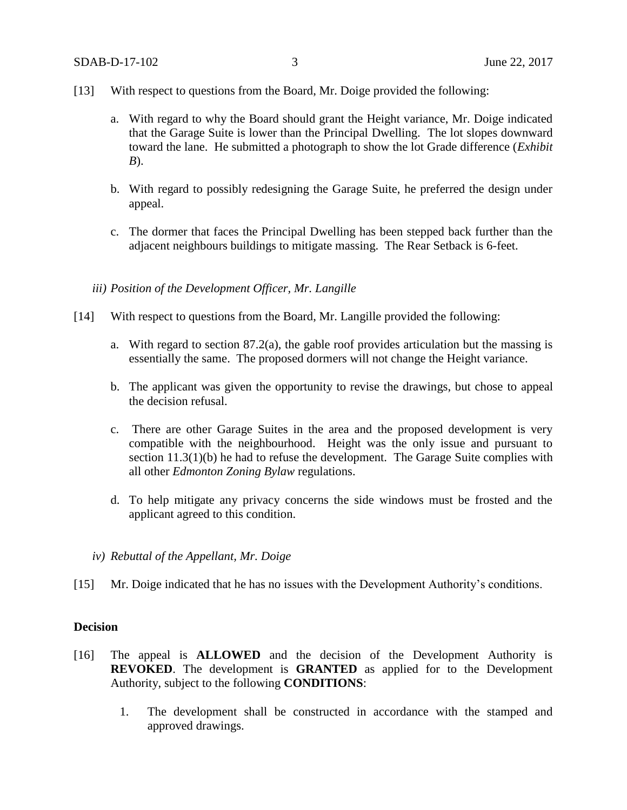- [13] With respect to questions from the Board, Mr. Doige provided the following:
	- a. With regard to why the Board should grant the Height variance, Mr. Doige indicated that the Garage Suite is lower than the Principal Dwelling. The lot slopes downward toward the lane. He submitted a photograph to show the lot Grade difference (*Exhibit B*).
	- b. With regard to possibly redesigning the Garage Suite, he preferred the design under appeal.
	- c. The dormer that faces the Principal Dwelling has been stepped back further than the adjacent neighbours buildings to mitigate massing. The Rear Setback is 6-feet.
	- *iii) Position of the Development Officer, Mr. Langille*
- [14] With respect to questions from the Board, Mr. Langille provided the following:
	- a. With regard to section 87.2(a), the gable roof provides articulation but the massing is essentially the same. The proposed dormers will not change the Height variance.
	- b. The applicant was given the opportunity to revise the drawings, but chose to appeal the decision refusal.
	- c. There are other Garage Suites in the area and the proposed development is very compatible with the neighbourhood. Height was the only issue and pursuant to section 11.3(1)(b) he had to refuse the development. The Garage Suite complies with all other *Edmonton Zoning Bylaw* regulations.
	- d. To help mitigate any privacy concerns the side windows must be frosted and the applicant agreed to this condition.
	- *iv) Rebuttal of the Appellant, Mr. Doige*
- [15] Mr. Doige indicated that he has no issues with the Development Authority's conditions.

### **Decision**

- [16] The appeal is **ALLOWED** and the decision of the Development Authority is **REVOKED**. The development is **GRANTED** as applied for to the Development Authority, subject to the following **CONDITIONS**:
	- 1. The development shall be constructed in accordance with the stamped and approved drawings.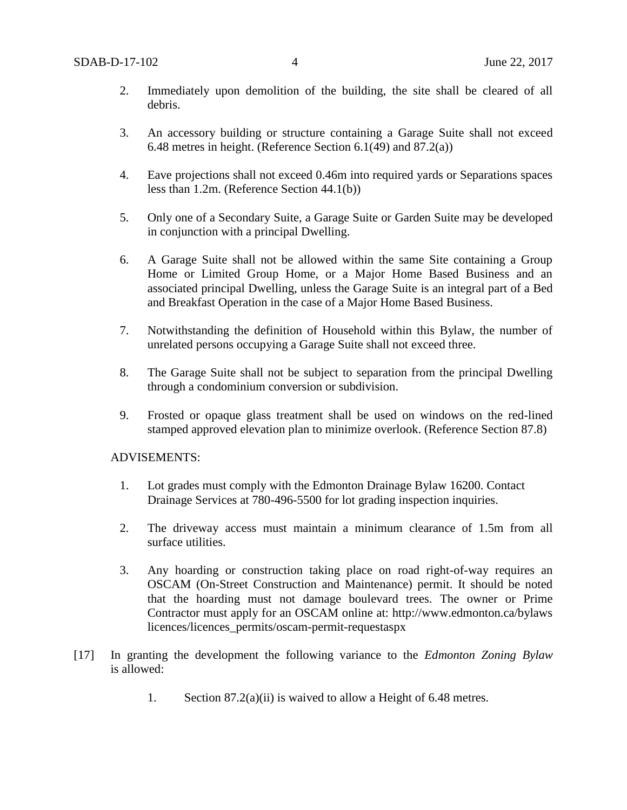- 2. Immediately upon demolition of the building, the site shall be cleared of all debris.
- 3. An accessory building or structure containing a Garage Suite shall not exceed 6.48 metres in height. (Reference Section 6.1(49) and 87.2(a))
- 4. Eave projections shall not exceed 0.46m into required yards or Separations spaces less than 1.2m. (Reference Section 44.1(b))
- 5. Only one of a Secondary Suite, a Garage Suite or Garden Suite may be developed in conjunction with a principal Dwelling.
- 6. A Garage Suite shall not be allowed within the same Site containing a Group Home or Limited Group Home, or a Major Home Based Business and an associated principal Dwelling, unless the Garage Suite is an integral part of a Bed and Breakfast Operation in the case of a Major Home Based Business.
- 7. Notwithstanding the definition of Household within this Bylaw, the number of unrelated persons occupying a Garage Suite shall not exceed three.
- 8. The Garage Suite shall not be subject to separation from the principal Dwelling through a condominium conversion or subdivision.
- 9. Frosted or opaque glass treatment shall be used on windows on the red-lined stamped approved elevation plan to minimize overlook. (Reference Section 87.8)

#### ADVISEMENTS:

- 1. Lot grades must comply with the Edmonton Drainage Bylaw 16200. Contact Drainage Services at 780-496-5500 for lot grading inspection inquiries.
- 2. The driveway access must maintain a minimum clearance of 1.5m from all surface utilities.
- 3. Any hoarding or construction taking place on road right-of-way requires an OSCAM (On-Street Construction and Maintenance) permit. It should be noted that the hoarding must not damage boulevard trees. The owner or Prime Contractor must apply for an OSCAM online at: http://www.edmonton.ca/bylaws licences/licences\_permits/oscam-permit-requestaspx
- [17] In granting the development the following variance to the *Edmonton Zoning Bylaw*  is allowed:
	- 1. Section 87.2(a)(ii) is waived to allow a Height of 6.48 metres.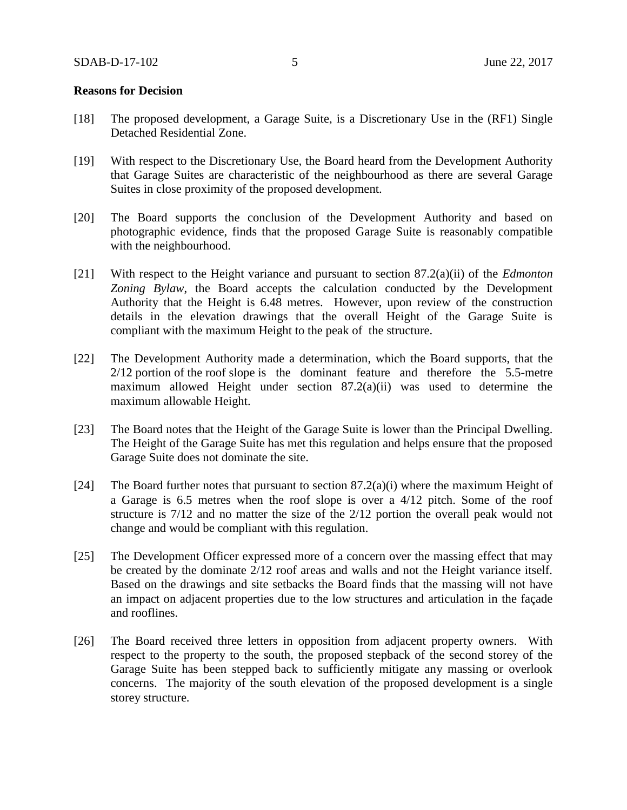#### **Reasons for Decision**

- [18] The proposed development, a Garage Suite, is a Discretionary Use in the (RF1) Single Detached Residential Zone.
- [19] With respect to the Discretionary Use, the Board heard from the Development Authority that Garage Suites are characteristic of the neighbourhood as there are several Garage Suites in close proximity of the proposed development.
- [20] The Board supports the conclusion of the Development Authority and based on photographic evidence, finds that the proposed Garage Suite is reasonably compatible with the neighbourhood.
- [21] With respect to the Height variance and pursuant to section 87.2(a)(ii) of the *Edmonton Zoning Bylaw*, the Board accepts the calculation conducted by the Development Authority that the Height is 6.48 metres. However, upon review of the construction details in the elevation drawings that the overall Height of the Garage Suite is compliant with the maximum Height to the peak of the structure.
- [22] The Development Authority made a determination, which the Board supports, that the 2/12 portion of the roof slope is the dominant feature and therefore the 5.5-metre maximum allowed Height under section 87.2(a)(ii) was used to determine the maximum allowable Height.
- [23] The Board notes that the Height of the Garage Suite is lower than the Principal Dwelling. The Height of the Garage Suite has met this regulation and helps ensure that the proposed Garage Suite does not dominate the site.
- [24] The Board further notes that pursuant to section  $87.2(a)(i)$  where the maximum Height of a Garage is 6.5 metres when the roof slope is over a 4/12 pitch. Some of the roof structure is 7/12 and no matter the size of the 2/12 portion the overall peak would not change and would be compliant with this regulation.
- [25] The Development Officer expressed more of a concern over the massing effect that may be created by the dominate 2/12 roof areas and walls and not the Height variance itself. Based on the drawings and site setbacks the Board finds that the massing will not have an impact on adjacent properties due to the low structures and articulation in the façade and rooflines.
- [26] The Board received three letters in opposition from adjacent property owners. With respect to the property to the south, the proposed stepback of the second storey of the Garage Suite has been stepped back to sufficiently mitigate any massing or overlook concerns. The majority of the south elevation of the proposed development is a single storey structure.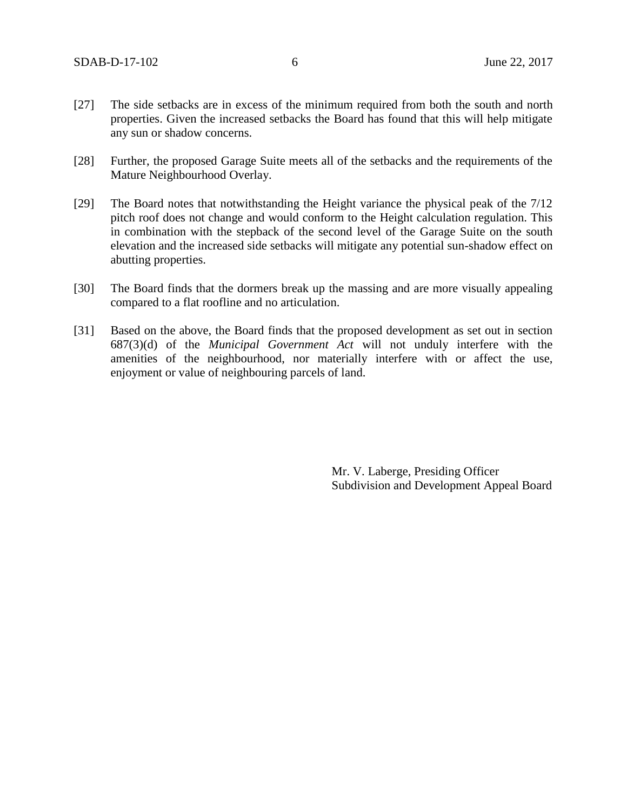- [27] The side setbacks are in excess of the minimum required from both the south and north properties. Given the increased setbacks the Board has found that this will help mitigate any sun or shadow concerns.
- [28] Further, the proposed Garage Suite meets all of the setbacks and the requirements of the Mature Neighbourhood Overlay.
- [29] The Board notes that notwithstanding the Height variance the physical peak of the 7/12 pitch roof does not change and would conform to the Height calculation regulation. This in combination with the stepback of the second level of the Garage Suite on the south elevation and the increased side setbacks will mitigate any potential sun-shadow effect on abutting properties.
- [30] The Board finds that the dormers break up the massing and are more visually appealing compared to a flat roofline and no articulation.
- [31] Based on the above, the Board finds that the proposed development as set out in section 687(3)(d) of the *Municipal Government Act* will not unduly interfere with the amenities of the neighbourhood, nor materially interfere with or affect the use, enjoyment or value of neighbouring parcels of land.

Mr. V. Laberge, Presiding Officer Subdivision and Development Appeal Board